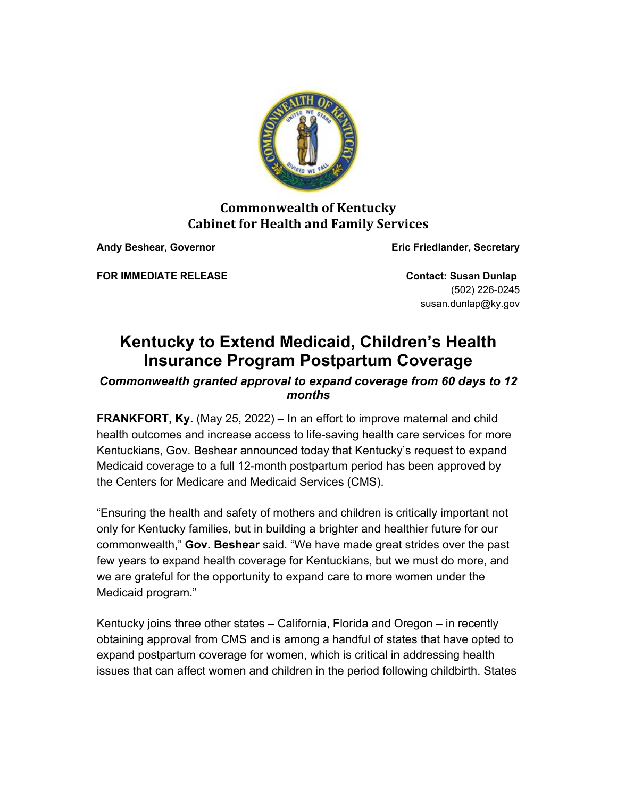

## **Commonwealth of Kentucky Cabinet for Health and Family Services**

**Andy Beshear, Governor Eric Friedlander, Secretary**

**FOR IMMEDIATE RELEASE Contact: Susan Dunlap** 

(502) 226-0245 susan.dunlap@ky.gov

## **Kentucky to Extend Medicaid, Children's Health Insurance Program Postpartum Coverage**

## *Commonwealth granted approval to expand coverage from 60 days to 12 months*

**FRANKFORT, Ky.** (May 25, 2022) – In an effort to improve maternal and child health outcomes and increase access to life-saving health care services for more Kentuckians, Gov. Beshear announced today that Kentucky's request to expand Medicaid coverage to a full 12-month postpartum period has been approved by the Centers for Medicare and Medicaid Services (CMS).

"Ensuring the health and safety of mothers and children is critically important not only for Kentucky families, but in building a brighter and healthier future for our commonwealth," **Gov. Beshear** said. "We have made great strides over the past few years to expand health coverage for Kentuckians, but we must do more, and we are grateful for the opportunity to expand care to more women under the Medicaid program."

Kentucky joins three other states – California, Florida and Oregon – in recently obtaining approval from CMS and is among a handful of states that have opted to expand postpartum coverage for women, which is critical in addressing health issues that can affect women and children in the period following childbirth. States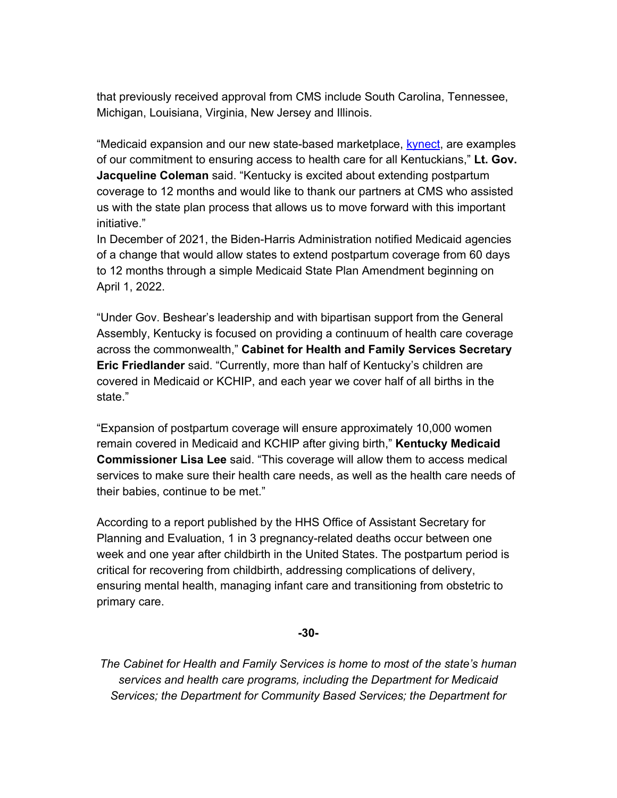that previously received approval from CMS include South Carolina, Tennessee, Michigan, Louisiana, Virginia, New Jersey and Illinois.

"Medicaid expansion and our new state-based marketplace, [kynect,](https://urldefense.com/v3/__https:/lnks.gd/l/eyJhbGciOiJIUzI1NiJ9.eyJidWxsZXRpbl9saW5rX2lkIjoxMDAsInVyaSI6ImJwMjpjbGljayIsImJ1bGxldGluX2lkIjoiMjAyMjA1MjUuNTg0NjQ2MTEiLCJ1cmwiOiJodHRwczovL2t5bmVjdC5reS5nb3Yvcy8_bGFuZ3VhZ2U9ZW5fVVMifQ.C-iiNPNeULqaMxJHzWOZ5fQ6uRhESUBUX25n_T-NfWQ/s/268278193/br/131909043468-l__;!!Db6frn15oIvDD3UI!gEV1LnW8pp_kmx7PckQ3zOG6cmMkRFtdfZE8guj3IbjKHxCOzz-JtlxF4bNeg_WS9yB6H3knU7Q8znUhgVc20as-S5C2tQ$) are examples of our commitment to ensuring access to health care for all Kentuckians," **Lt. Gov. Jacqueline Coleman** said. "Kentucky is excited about extending postpartum coverage to 12 months and would like to thank our partners at CMS who assisted us with the state plan process that allows us to move forward with this important initiative."

In December of 2021, the Biden-Harris Administration notified Medicaid agencies of a change that would allow states to extend postpartum coverage from 60 days to 12 months through a simple Medicaid State Plan Amendment beginning on April 1, 2022.

"Under Gov. Beshear's leadership and with bipartisan support from the General Assembly, Kentucky is focused on providing a continuum of health care coverage across the commonwealth," **Cabinet for Health and Family Services Secretary Eric Friedlander** said. "Currently, more than half of Kentucky's children are covered in Medicaid or KCHIP, and each year we cover half of all births in the state."

"Expansion of postpartum coverage will ensure approximately 10,000 women remain covered in Medicaid and KCHIP after giving birth," **Kentucky Medicaid Commissioner Lisa Lee** said. "This coverage will allow them to access medical services to make sure their health care needs, as well as the health care needs of their babies, continue to be met."

According to a report published by the HHS Office of Assistant Secretary for Planning and Evaluation, 1 in 3 pregnancy-related deaths occur between one week and one year after childbirth in the United States. The postpartum period is critical for recovering from childbirth, addressing complications of delivery, ensuring mental health, managing infant care and transitioning from obstetric to primary care.

## **-30-**

*The Cabinet for Health and Family Services is home to most of the state's human services and health care programs, including the Department for Medicaid Services; the Department for Community Based Services; the Department for*